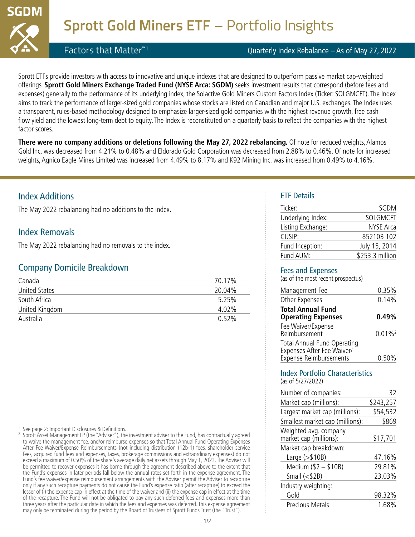

Factors that Matter™1

### Quarterly Index Rebalance – As of May 27, 2022

Sprott ETFs provide investors with access to innovative and unique indexes that are designed to outperform passive market cap-weighted offerings. **Sprott Gold Miners Exchange Traded Fund (NYSE Arca: SGDM)** seeks investment results that correspond (before fees and expenses) generally to the performance of its underlying index, the Solactive Gold Miners Custom Factors Index (Ticker: SOLGMCFT). The Index aims to track the performance of larger-sized gold companies whose stocks are listed on Canadian and major U.S. exchanges. The Index uses a transparent, rules-based methodology designed to emphasize larger-sized gold companies with the highest revenue growth, free cash flow yield and the lowest long-term debt to equity. The Index is reconstituted on a quarterly basis to reflect the companies with the highest factor scores.

**There were no company additions or deletions following the May 27, 2022 rebalancing.** Of note for reduced weights, Alamos Gold Inc. was decreased from 4.21% to 0.48% and Eldorado Gold Corporation was decreased from 2.88% to 0.46%. Of note for increased weights, Agnico Eagle Mines Limited was increased from 4.49% to 8.17% and K92 Mining Inc. was increased from 0.49% to 4.16%.

## Index Additions

The May 2022 rebalancing had no additions to the index.

## Index Removals

The May 2022 rebalancing had no removals to the index.

### Company Domicile Breakdown

| Canada               | 70.17%   |
|----------------------|----------|
| <b>United States</b> | 20.04%   |
| South Africa         | 5.25%    |
| United Kingdom       | 4.02%    |
| Australia            | $0.52\%$ |

<sup>1</sup> See page 2: Important Disclosures & Definitions.

2 Sprott Asset Management LP (the "Adviser"), the investment adviser to the Fund, has contractually agreed to waive the management fee, and/or reimburse expenses so that Total Annual Fund Operating Expenses After Fee Waiver/Expense Reimbursements (not including distribution (12b-1) fees, shareholder service fees, acquired fund fees and expenses, taxes, brokerage commissions and extraordinary expenses) do not exceed a maximum of 0.50% of the share's average daily net assets through May 1, 2023. The Adviser will be permitted to recover expenses it has borne through the agreement described above to the extent that the Fund's expenses in later periods fall below the annual rates set forth in the expense agreement. The Fund's fee waiver/expense reimbursement arrangements with the Adviser permit the Adviser to recapture only if any such recapture payments do not cause the Fund's expense ratio (after recapture) to exceed the lesser of (i) the expense cap in effect at the time of the waiver and (ii) the expense cap in effect at the time of the recapture. The Fund will not be obligated to pay any such deferred fees and expenses more than three years after the particular date in which the fees and expenses was deferred. This expense agreement may only be terminated during the period by the Board of Trustees of Sprott Funds Trust (the "Trust").

### ETF Details

| Ticker:           | SGDM            |
|-------------------|-----------------|
| Underlying Index: | SOLGMCFT        |
| Listing Exchange: | NYSE Arca       |
| CUSIP:            | 85210B 102      |
| Fund Inception:   | July 15, 2014   |
| Fund AUM:         | \$253.3 million |

### Fees and Expenses

(as of the most recen[t prospectus\)](https://sprottetfs.com/media/2303/sprott-etfs-stat-prospectus.pdf)

| 0.35%                 |
|-----------------------|
| 0.14%                 |
| 0.49%                 |
| $0.01\%$ <sup>2</sup> |
| 0.50%                 |
|                       |

#### Index Portfolio Characteristics (as of 5/27/2022)

| Number of companies:                            | 32        |
|-------------------------------------------------|-----------|
| Market cap (millions):                          | \$243,257 |
| Largest market cap (millions):                  | \$54,532  |
| Smallest market cap (millions):                 | \$869     |
| Weighted avg. company<br>market cap (millions): | \$17,701  |
| Market cap breakdown:                           |           |
| Large $(>\$10B)$                                | 47.16%    |
| Medium (\$2 - \$10B)                            | 29.81%    |
| Small $($2B)$                                   | 23.03%    |
| Industry weighting:                             |           |
| Gold                                            | 98.32%    |
| Precious Metals                                 | 1.68%     |
|                                                 |           |